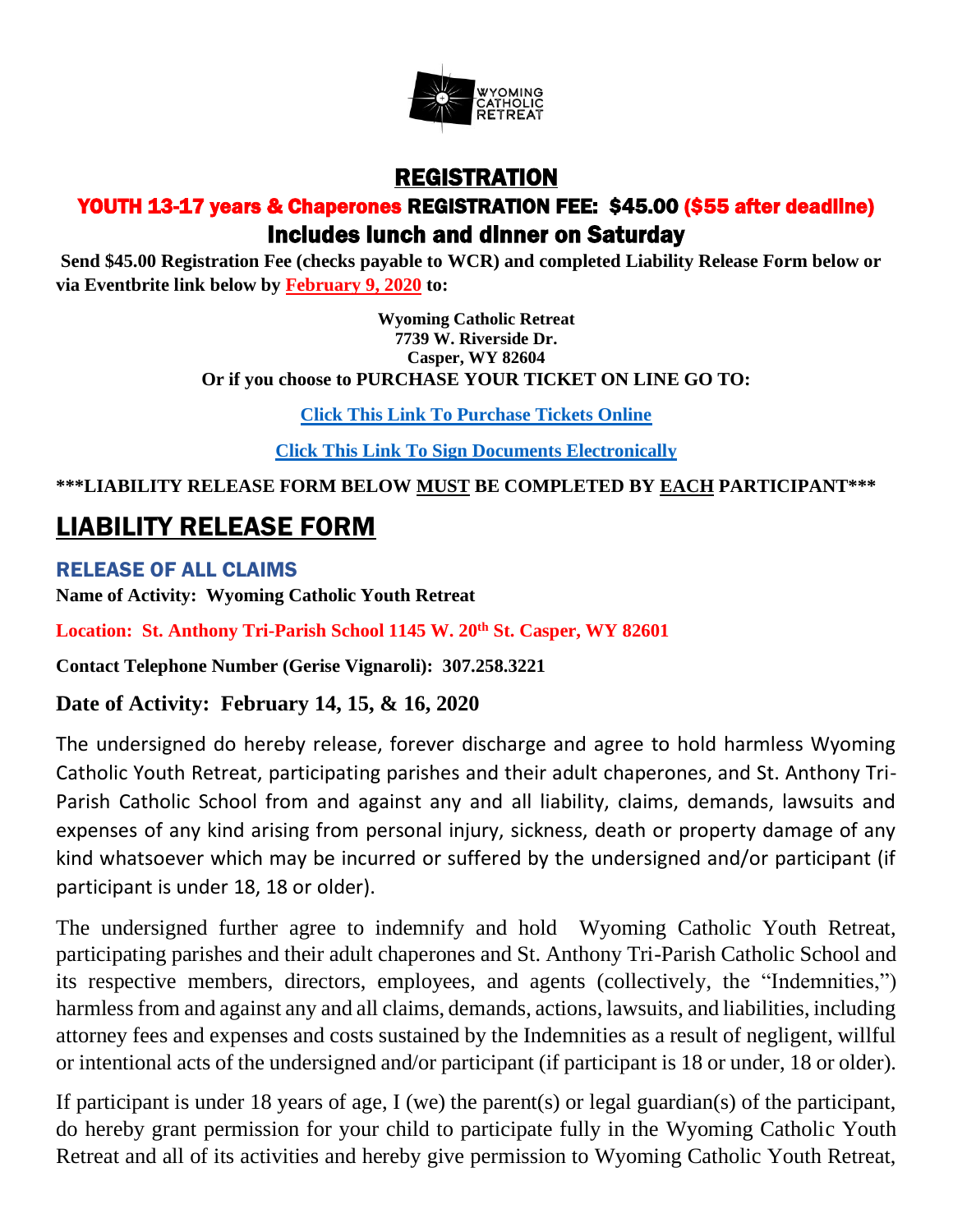

## REGISTRATION YOUTH 13-17 years & Chaperones REGISTRATION FEE: \$45.00 (\$55 after deadline) Includes lunch and dinner on Saturday

**Send \$45.00 Registration Fee (checks payable to WCR) and completed Liability Release Form below or via Eventbrite link below by February 9, 2020 to:**

> **Wyoming Catholic Retreat 7739 W. Riverside Dr. Casper, WY 82604 Or if you choose to PURCHASE YOUR TICKET ON LINE GO TO:**

> > **[Click This Link To Purchase Tickets Online](https://www.eventbrite.com/e/wyoming-catholic-retreat-tickets-87779479787)**

**[Click This Link To Sign Documents Electronically](https://signnow.com/s/ZIYQs97U)**

**\*\*\*LIABILITY RELEASE FORM BELOW MUST BE COMPLETED BY EACH PARTICIPANT\*\*\***

## LIABILITY RELEASE FORM

RELEASE OF ALL CLAIMS **Name of Activity: Wyoming Catholic Youth Retreat**

**Location: St. Anthony Tri-Parish School 1145 W. 20th St. Casper, WY 82601** 

**Contact Telephone Number (Gerise Vignaroli): 307.258.3221**

## **Date of Activity: February 14, 15, & 16, 2020**

The undersigned do hereby release, forever discharge and agree to hold harmless Wyoming Catholic Youth Retreat, participating parishes and their adult chaperones, and St. Anthony Tri-Parish Catholic School from and against any and all liability, claims, demands, lawsuits and expenses of any kind arising from personal injury, sickness, death or property damage of any kind whatsoever which may be incurred or suffered by the undersigned and/or participant (if participant is under 18, 18 or older).

The undersigned further agree to indemnify and hold Wyoming Catholic Youth Retreat, participating parishes and their adult chaperones and St. Anthony Tri-Parish Catholic School and its respective members, directors, employees, and agents (collectively, the "Indemnities,") harmless from and against any and all claims, demands, actions, lawsuits, and liabilities, including attorney fees and expenses and costs sustained by the Indemnities as a result of negligent, willful or intentional acts of the undersigned and/or participant (if participant is 18 or under, 18 or older).

If participant is under 18 years of age, I (we) the parent(s) or legal guardian(s) of the participant, do hereby grant permission for your child to participate fully in the Wyoming Catholic Youth Retreat and all of its activities and hereby give permission to Wyoming Catholic Youth Retreat,